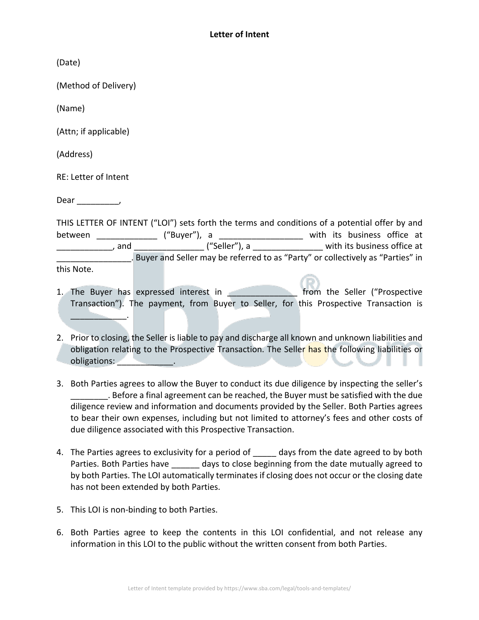(Date)

(Method of Delivery)

(Name)

(Attn; if applicable)

(Address)

RE: Letter of Intent

Dear \_\_\_\_\_\_\_\_\_,

THIS LETTER OF INTENT ("LOI") sets forth the terms and conditions of a potential offer by and between \_\_\_\_\_\_\_\_\_\_\_\_\_\_\_\_ ("Buyer"), a \_\_\_\_\_\_\_\_\_\_\_\_\_\_\_\_\_\_\_\_\_\_\_ with its business office at external and the same of the seller"), a the set of with its business office at  $\blacksquare$ , and . Buyer and Seller may be referred to as "Party" or collectively as "Parties" in this Note.

- 1. The Buyer has expressed interest in **the seller ("Prospective** Transaction"). The payment, from Buyer to Seller, for this Prospective Transaction is  $\frac{1}{2}$
- 2. Prior to closing, the Seller is liable to pay and discharge all known and unknown liabilities and obligation relating to the Prospective Transaction. The Seller has the following liabilities or obligations: **with the set of the set of the set of the set of the set of the set of the set of the set of the s**
- 3. Both Parties agrees to allow the Buyer to conduct its due diligence by inspecting the seller's \_\_\_\_\_\_\_\_. Before a final agreement can be reached, the Buyer must be satisfied with the due diligence review and information and documents provided by the Seller. Both Parties agrees to bear their own expenses, including but not limited to attorney's fees and other costs of due diligence associated with this Prospective Transaction.
- 4. The Parties agrees to exclusivity for a period of days from the date agreed to by both Parties. Both Parties have days to close beginning from the date mutually agreed to by both Parties. The LOI automatically terminates if closing does not occur or the closing date has not been extended by both Parties.
- 5. This LOI is non-binding to both Parties.
- 6. Both Parties agree to keep the contents in this LOI confidential, and not release any information in this LOI to the public without the written consent from both Parties.